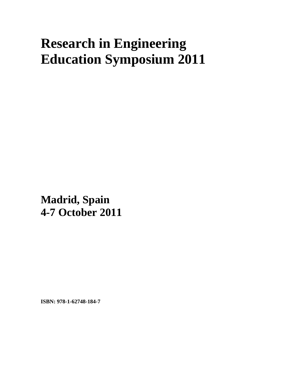## **Research in Engineering Education Symposium 2011**

**Madrid, Spain 4-7 October 2011**

**ISBN: 978-1-62748-184-7**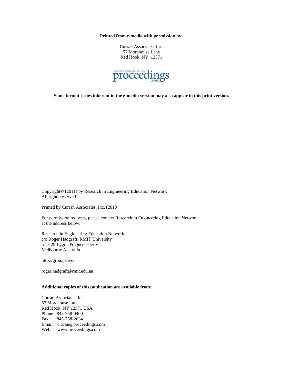**Printed from e-media with permission by:** 

Curran Associates, Inc. 57 Morehouse Lane Red Hook, NY 12571



**Some format issues inherent in the e-media version may also appear in this print version.** 

Copyright© (2011) by Research in Engineering Education Network All rights reserved.

Printed by Curran Associates, Inc. (2013)

For permission requests, please contact Research in Engineering Education Network at the address below.

Research in Engineering Education Network c/o Roger Hadgraft, RMIT University 57 3 29 Lygon & Queensberry Melbourne Australia

http://grou.ps/reen

roger.hadgraft@rmit.edu.au

## **Additional copies of this publication are available from:**

Curran Associates, Inc. 57 Morehouse Lane Red Hook, NY 12571 USA Phone: 845-758-0400 Fax: 845-758-2634 Email: curran@proceedings.com Web: www.proceedings.com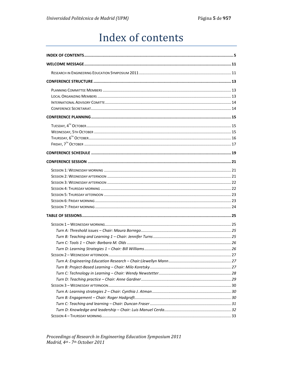## Index of contents

<span id="page-2-0"></span>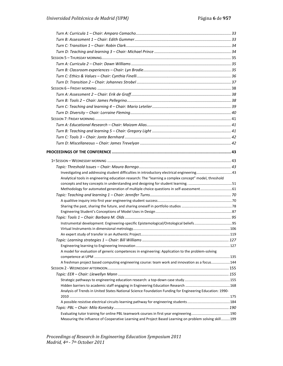| Analytical tools in engineering education research: The "learning a complex concept" model, threshold    |  |
|----------------------------------------------------------------------------------------------------------|--|
|                                                                                                          |  |
| Methodology for automated generation of multiple choice questions in self-assessment 61                  |  |
|                                                                                                          |  |
|                                                                                                          |  |
|                                                                                                          |  |
|                                                                                                          |  |
|                                                                                                          |  |
|                                                                                                          |  |
|                                                                                                          |  |
|                                                                                                          |  |
|                                                                                                          |  |
| A model for evaluation of generic competences in engineering: Application to the problem-solving         |  |
|                                                                                                          |  |
| A freshman project based computing engineering course: team work and innovation as a focus144            |  |
|                                                                                                          |  |
|                                                                                                          |  |
|                                                                                                          |  |
|                                                                                                          |  |
| Analysis of Trends in United States National Science Foundation Funding for Engineering Education: 1990- |  |
|                                                                                                          |  |
|                                                                                                          |  |
|                                                                                                          |  |
| Evaluating tutor training for online PBL teamwork courses in first year engineering190                   |  |
| Measuring the influence of Cooperative Learning and Project Based Learning on problem solving skill199   |  |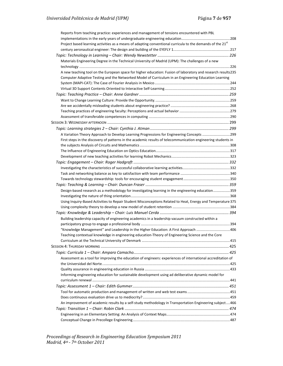| Reports from teaching practice: experiences and management of tensions encountered with PBL                     |  |
|-----------------------------------------------------------------------------------------------------------------|--|
|                                                                                                                 |  |
| Project based learning activities as a means of adapting conventional curricula to the demands of the $21^{st}$ |  |
|                                                                                                                 |  |
|                                                                                                                 |  |
| Materials Engineering Degree in the Technical University of Madrid (UPM): The challenges of a new               |  |
|                                                                                                                 |  |
| A new teaching tool on the European space for higher education: Fusion of laboratory and research results235    |  |
| Computer Adaptive Testing and the Networked Model of Curriculum in an Engineering Education Learning            |  |
|                                                                                                                 |  |
|                                                                                                                 |  |
|                                                                                                                 |  |
|                                                                                                                 |  |
|                                                                                                                 |  |
|                                                                                                                 |  |
|                                                                                                                 |  |
|                                                                                                                 |  |
|                                                                                                                 |  |
| A Variation Theory Approach to Develop Learning Progressions for Engineering Concepts 299                       |  |
| First steps in the discovery of patterns in the academic results of telecommunication engineering students in   |  |
|                                                                                                                 |  |
|                                                                                                                 |  |
|                                                                                                                 |  |
|                                                                                                                 |  |
|                                                                                                                 |  |
|                                                                                                                 |  |
|                                                                                                                 |  |
|                                                                                                                 |  |
| Design-based research as a methodology for investigating learning in the engineering education359               |  |
|                                                                                                                 |  |
| Using Inquiry-Based Activities to Repair Student Misconceptions Related to Heat, Energy and Temperature 375     |  |
|                                                                                                                 |  |
|                                                                                                                 |  |
| Building leadership capacity of engineering academics in a leadership vacuum constructed within a               |  |
|                                                                                                                 |  |
| "Knowledge Management" and Leadership in the Higher Education: A First Approach 406                             |  |
| Teaching contextual knowledge in engineering education-Theory of Engineering Science and the Core               |  |
|                                                                                                                 |  |
|                                                                                                                 |  |
|                                                                                                                 |  |
| Assessment as a tool for improving the education of engineers: experiences of international accreditation of    |  |
|                                                                                                                 |  |
|                                                                                                                 |  |
| Informing engineering education for sustainable development using ad deliberative dynamic model for             |  |
|                                                                                                                 |  |
|                                                                                                                 |  |
|                                                                                                                 |  |
|                                                                                                                 |  |
| An improvement of academic results by a self-study methodology in Transportation Engineering subject466         |  |
|                                                                                                                 |  |
|                                                                                                                 |  |
|                                                                                                                 |  |
|                                                                                                                 |  |

*Proceedings of Research in Engineering Education Symposium 2011 Madrid, 4th - 7th October 2011*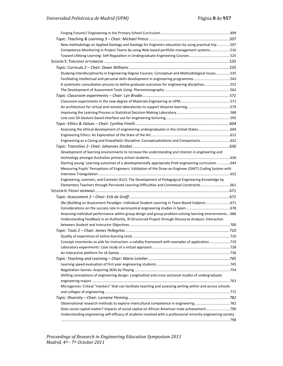| New methodology on Applied Geology and Geology for Engineers education by using practical trip 507            |  |
|---------------------------------------------------------------------------------------------------------------|--|
| Competence Monitoring in Project Teams by using Web based portfolio management systems516                     |  |
|                                                                                                               |  |
|                                                                                                               |  |
|                                                                                                               |  |
| Studying Interdisciplinarity in Engineering Degree Courses: Conceptual and Methodological Issues 535          |  |
| Facilitating intellectual and personal skills development in engineering programmes 543                       |  |
| A systematic consultation process to define graduate outcomes for engineering disciplines552                  |  |
|                                                                                                               |  |
|                                                                                                               |  |
|                                                                                                               |  |
|                                                                                                               |  |
|                                                                                                               |  |
|                                                                                                               |  |
|                                                                                                               |  |
| Assessing the ethical development of engineering undergraduates in the United States604                       |  |
|                                                                                                               |  |
| Engineering as a Caring and Empathetic Discipline: Conceptualizations and Comparisons622                      |  |
|                                                                                                               |  |
| Development of learning environments to increase the understanding and interest in engineering and            |  |
|                                                                                                               |  |
| Starting young: Learning outcomes of a developmentally appropriate PreK engineering curriculum 644            |  |
| Measuring Pupils' Perceptions of Engineers: Validation of the Draw-an-Engineer (DAET) Coding System with      |  |
|                                                                                                               |  |
| Engineering, Learners, and Contexts (ELC): The Development of Pedagogical Engineering Knowledge by            |  |
| Elementary Teachers through Perceived Learning Difficulties and Contextual Constraints 661                    |  |
|                                                                                                               |  |
|                                                                                                               |  |
| (Re-)Building an Assessment Paradigm: Individual Student Learning in Team-Based Subjects 671                  |  |
|                                                                                                               |  |
| Assessing individual performance within group design and group problem-solving learning environments686       |  |
| Understanding Feedback in an Authentic, Ill-Structured Project through Discourse Analysis: Interaction        |  |
|                                                                                                               |  |
|                                                                                                               |  |
|                                                                                                               |  |
| Concept inventories as aids for instruction: a validity framework with examples of application719             |  |
|                                                                                                               |  |
|                                                                                                               |  |
|                                                                                                               |  |
|                                                                                                               |  |
| Shifting conceptions of engineering design: Longitudinal and cross-sectional studies of undergraduate         |  |
|                                                                                                               |  |
| Microgenres: Critical "markers" that can facilitate teaching and assessing writing within and across schools  |  |
|                                                                                                               |  |
|                                                                                                               |  |
|                                                                                                               |  |
| Does social capital matter? Impacts of social capital on African American male achievement790                 |  |
| Understanding engineering self-efficacy of students involved with a professional minority engineering society |  |
|                                                                                                               |  |
|                                                                                                               |  |